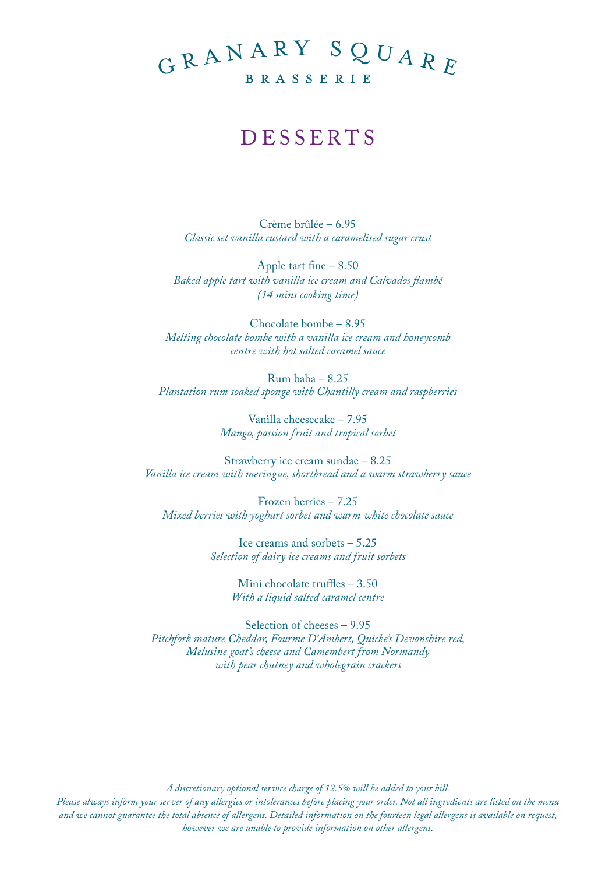## GRANARY SQUARE BRASSERIE

## **DESSERTS**

Crème brûlée – 6.95 *Classic set vanilla custard with a caramelised sugar crust*

Apple tart fine – 8.50 *Baked apple tart with vanilla ice cream and Calvados flambé (14 mins cooking time)* 

Chocolate bombe – 8.95 *Melting chocolate bombe with a vanilla ice cream and honeycomb centre with hot salted caramel sauce*

Rum baba – 8.25 *Plantation rum soaked sponge with Chantilly cream and raspberries* 

> Vanilla cheesecake – 7.95 *Mango, passion fruit and tropical sorbet*

Strawberry ice cream sundae – 8.25 *Vanilla ice cream with meringue, shortbread and a warm strawberry sauce* 

Frozen berries – 7.25 *Mixed berries with yoghurt sorbet and warm white chocolate sauce*

> Ice creams and sorbets – 5.25 *Selection of dairy ice creams and fruit sorbets*

> > Mini chocolate truffles – 3.50 *With a liquid salted caramel centre*

Selection of cheeses – 9.95 *Pitchfork mature Cheddar, Fourme D'Ambert, Quicke's Devonshire red, Melusine goat's cheese and Camembert from Normandy with pear chutney and wholegrain crackers*

*A discretionary optional service charge of 12.5% will be added to your bill. Please always inform your server of any allergies or intolerances before placing your order. Not all ingredients are listed on the menu and we cannot guarantee the total absence of allergens. Detailed information on the fourteen legal allergens is available on request, however we are unable to provide information on other allergens.*